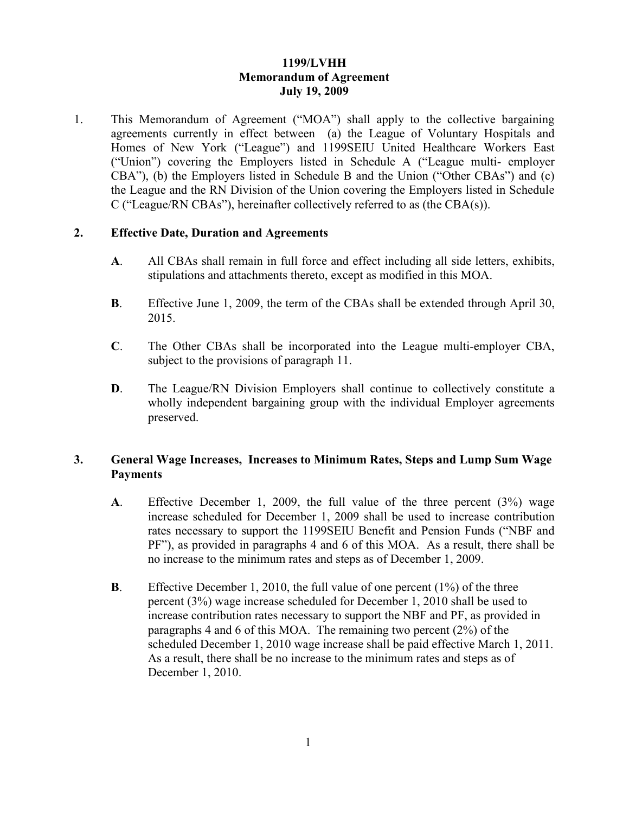## **1199/LVHH Memorandum of Agreement July 19, 2009**

1. This Memorandum of Agreement ("MOA") shall apply to the collective bargaining agreements currently in effect between (a) the League of Voluntary Hospitals and Homes of New York ("League") and 1199SEIU United Healthcare Workers East ("Union") covering the Employers listed in Schedule A ("League multi- employer CBA"), (b) the Employers listed in Schedule B and the Union ("Other CBAs") and (c) the League and the RN Division of the Union covering the Employers listed in Schedule C ("League/RN CBAs"), hereinafter collectively referred to as (the CBA(s)).

### **2. Effective Date, Duration and Agreements**

- **A**. All CBAs shall remain in full force and effect including all side letters, exhibits, stipulations and attachments thereto, except as modified in this MOA.
- **B**. Effective June 1, 2009, the term of the CBAs shall be extended through April 30, 2015.
- **C**. The Other CBAs shall be incorporated into the League multi-employer CBA, subject to the provisions of paragraph 11.
- **D.** The League/RN Division Employers shall continue to collectively constitute a wholly independent bargaining group with the individual Employer agreements preserved.

### **3. General Wage Increases, Increases to Minimum Rates, Steps and Lump Sum Wage Payments**

- **A**. Effective December 1, 2009, the full value of the three percent (3%) wage increase scheduled for December 1, 2009 shall be used to increase contribution rates necessary to support the 1199SEIU Benefit and Pension Funds ("NBF and PF"), as provided in paragraphs 4 and 6 of this MOA. As a result, there shall be no increase to the minimum rates and steps as of December 1, 2009.
- **B**. Effective December 1, 2010, the full value of one percent (1%) of the three percent (3%) wage increase scheduled for December 1, 2010 shall be used to increase contribution rates necessary to support the NBF and PF, as provided in paragraphs 4 and 6 of this MOA. The remaining two percent (2%) of the scheduled December 1, 2010 wage increase shall be paid effective March 1, 2011. As a result, there shall be no increase to the minimum rates and steps as of December 1, 2010.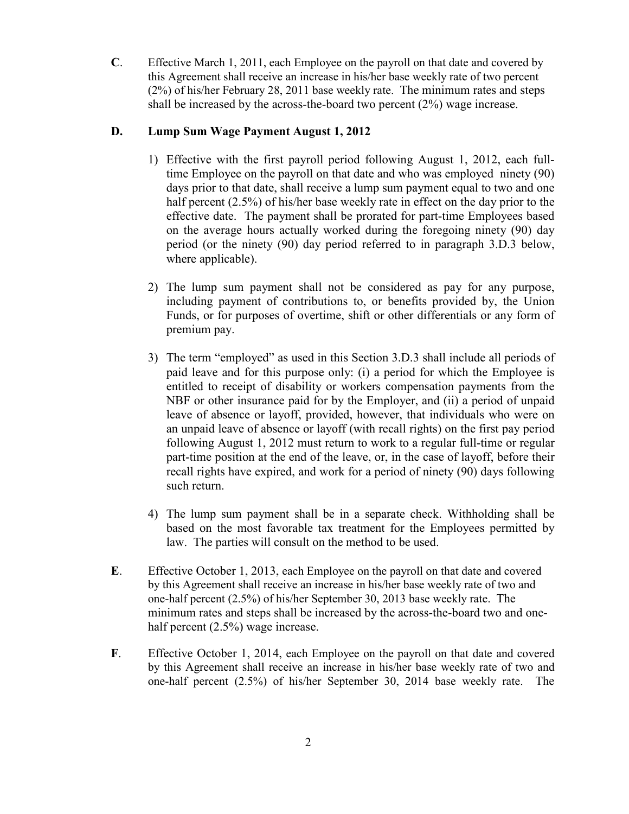**C**. Effective March 1, 2011, each Employee on the payroll on that date and covered by this Agreement shall receive an increase in his/her base weekly rate of two percent (2%) of his/her February 28, 2011 base weekly rate. The minimum rates and steps shall be increased by the across-the-board two percent (2%) wage increase.

## **D. Lump Sum Wage Payment August 1, 2012**

- 1) Effective with the first payroll period following August 1, 2012, each fulltime Employee on the payroll on that date and who was employed ninety (90) days prior to that date, shall receive a lump sum payment equal to two and one half percent (2.5%) of his/her base weekly rate in effect on the day prior to the effective date. The payment shall be prorated for part-time Employees based on the average hours actually worked during the foregoing ninety (90) day period (or the ninety (90) day period referred to in paragraph 3.D.3 below, where applicable).
- 2) The lump sum payment shall not be considered as pay for any purpose, including payment of contributions to, or benefits provided by, the Union Funds, or for purposes of overtime, shift or other differentials or any form of premium pay.
- 3) The term "employed" as used in this Section 3.D.3 shall include all periods of paid leave and for this purpose only: (i) a period for which the Employee is entitled to receipt of disability or workers compensation payments from the NBF or other insurance paid for by the Employer, and (ii) a period of unpaid leave of absence or layoff, provided, however, that individuals who were on an unpaid leave of absence or layoff (with recall rights) on the first pay period following August 1, 2012 must return to work to a regular full-time or regular part-time position at the end of the leave, or, in the case of layoff, before their recall rights have expired, and work for a period of ninety (90) days following such return.
- 4) The lump sum payment shall be in a separate check. Withholding shall be based on the most favorable tax treatment for the Employees permitted by law. The parties will consult on the method to be used.
- **E**. Effective October 1, 2013, each Employee on the payroll on that date and covered by this Agreement shall receive an increase in his/her base weekly rate of two and one-half percent (2.5%) of his/her September 30, 2013 base weekly rate. The minimum rates and steps shall be increased by the across-the-board two and onehalf percent (2.5%) wage increase.
- **F**. Effective October 1, 2014, each Employee on the payroll on that date and covered by this Agreement shall receive an increase in his/her base weekly rate of two and one-half percent (2.5%) of his/her September 30, 2014 base weekly rate. The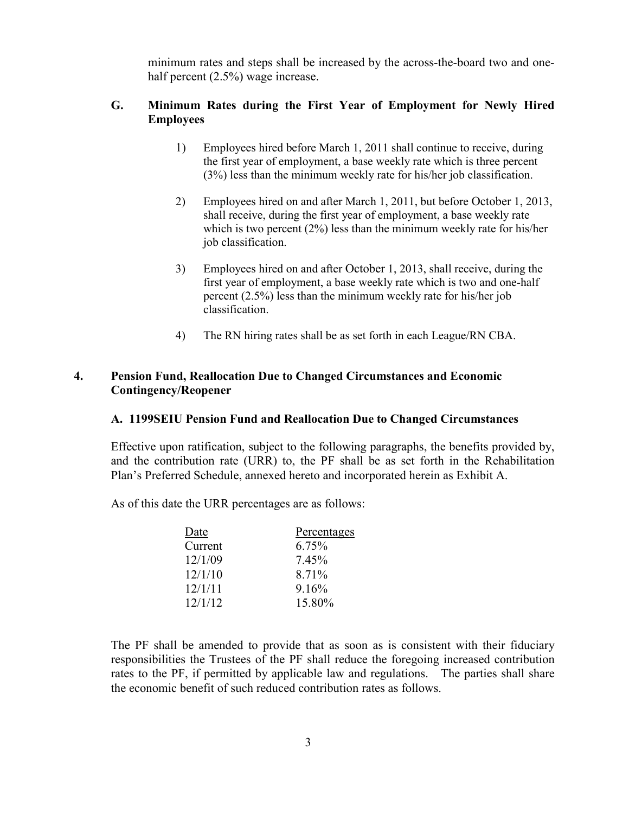minimum rates and steps shall be increased by the across-the-board two and onehalf percent  $(2.5\%)$  wage increase.

### **G. Minimum Rates during the First Year of Employment for Newly Hired Employees**

- 1) Employees hired before March 1, 2011 shall continue to receive, during the first year of employment, a base weekly rate which is three percent (3%) less than the minimum weekly rate for his/her job classification.
- 2) Employees hired on and after March 1, 2011, but before October 1, 2013, shall receive, during the first year of employment, a base weekly rate which is two percent (2%) less than the minimum weekly rate for his/her job classification.
- 3) Employees hired on and after October 1, 2013, shall receive, during the first year of employment, a base weekly rate which is two and one-half percent (2.5%) less than the minimum weekly rate for his/her job classification.
- 4) The RN hiring rates shall be as set forth in each League/RN CBA.

## **4. Pension Fund, Reallocation Due to Changed Circumstances and Economic Contingency/Reopener**

### **A. 1199SEIU Pension Fund and Reallocation Due to Changed Circumstances**

Effective upon ratification, subject to the following paragraphs, the benefits provided by, and the contribution rate (URR) to, the PF shall be as set forth in the Rehabilitation Plan's Preferred Schedule, annexed hereto and incorporated herein as Exhibit A.

As of this date the URR percentages are as follows:

| Date    | Percentages |
|---------|-------------|
| Current | 6.75%       |
| 12/1/09 | 7.45%       |
| 12/1/10 | 8.71%       |
| 12/1/11 | 9.16%       |
| 12/1/12 | 15.80%      |
|         |             |

The PF shall be amended to provide that as soon as is consistent with their fiduciary responsibilities the Trustees of the PF shall reduce the foregoing increased contribution rates to the PF, if permitted by applicable law and regulations. The parties shall share the economic benefit of such reduced contribution rates as follows.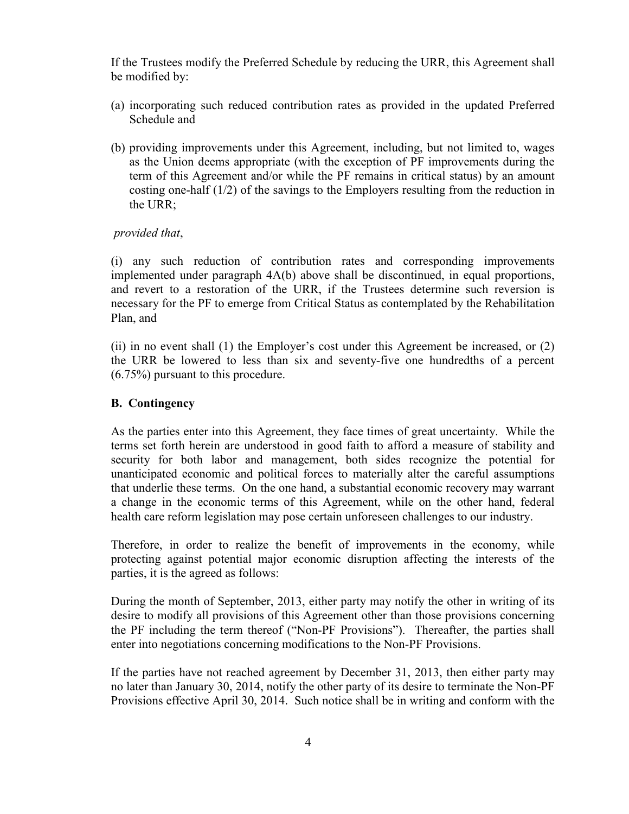If the Trustees modify the Preferred Schedule by reducing the URR, this Agreement shall be modified by:

- (a) incorporating such reduced contribution rates as provided in the updated Preferred Schedule and
- (b) providing improvements under this Agreement, including, but not limited to, wages as the Union deems appropriate (with the exception of PF improvements during the term of this Agreement and/or while the PF remains in critical status) by an amount costing one-half (1/2) of the savings to the Employers resulting from the reduction in the URR;

### *provided that*,

(i) any such reduction of contribution rates and corresponding improvements implemented under paragraph 4A(b) above shall be discontinued, in equal proportions, and revert to a restoration of the URR, if the Trustees determine such reversion is necessary for the PF to emerge from Critical Status as contemplated by the Rehabilitation Plan, and

(ii) in no event shall (1) the Employer's cost under this Agreement be increased, or (2) the URR be lowered to less than six and seventy-five one hundredths of a percent (6.75%) pursuant to this procedure.

### **B. Contingency**

As the parties enter into this Agreement, they face times of great uncertainty. While the terms set forth herein are understood in good faith to afford a measure of stability and security for both labor and management, both sides recognize the potential for unanticipated economic and political forces to materially alter the careful assumptions that underlie these terms. On the one hand, a substantial economic recovery may warrant a change in the economic terms of this Agreement, while on the other hand, federal health care reform legislation may pose certain unforeseen challenges to our industry.

Therefore, in order to realize the benefit of improvements in the economy, while protecting against potential major economic disruption affecting the interests of the parties, it is the agreed as follows:

During the month of September, 2013, either party may notify the other in writing of its desire to modify all provisions of this Agreement other than those provisions concerning the PF including the term thereof ("Non-PF Provisions"). Thereafter, the parties shall enter into negotiations concerning modifications to the Non-PF Provisions.

If the parties have not reached agreement by December 31, 2013, then either party may no later than January 30, 2014, notify the other party of its desire to terminate the Non-PF Provisions effective April 30, 2014. Such notice shall be in writing and conform with the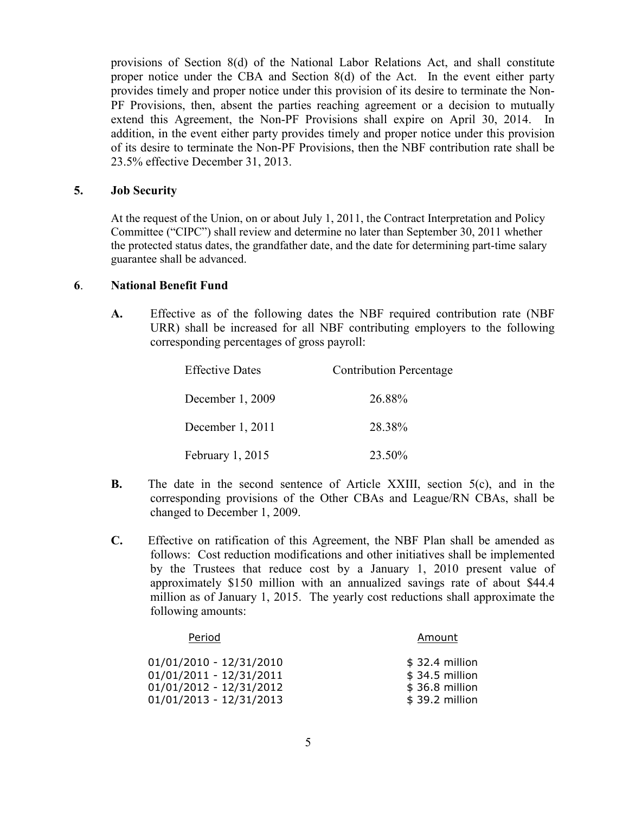provisions of Section 8(d) of the National Labor Relations Act, and shall constitute proper notice under the CBA and Section 8(d) of the Act. In the event either party provides timely and proper notice under this provision of its desire to terminate the Non-PF Provisions, then, absent the parties reaching agreement or a decision to mutually extend this Agreement, the Non-PF Provisions shall expire on April 30, 2014. In addition, in the event either party provides timely and proper notice under this provision of its desire to terminate the Non-PF Provisions, then the NBF contribution rate shall be 23.5% effective December 31, 2013.

### **5. Job Security**

At the request of the Union, on or about July 1, 2011, the Contract Interpretation and Policy Committee ("CIPC") shall review and determine no later than September 30, 2011 whether the protected status dates, the grandfather date, and the date for determining part-time salary guarantee shall be advanced.

### **6**. **National Benefit Fund**

**A.** Effective as of the following dates the NBF required contribution rate (NBF URR) shall be increased for all NBF contributing employers to the following corresponding percentages of gross payroll:

| <b>Effective Dates</b> | <b>Contribution Percentage</b> |
|------------------------|--------------------------------|
| December 1, 2009       | 26.88%                         |
| December 1, 2011       | 28.38%                         |
| February 1, 2015       | 23.50%                         |

- **B.** The date in the second sentence of Article XXIII, section 5(c), and in the corresponding provisions of the Other CBAs and League/RN CBAs, shall be changed to December 1, 2009.
- **C.** Effective on ratification of this Agreement, the NBF Plan shall be amended as follows: Cost reduction modifications and other initiatives shall be implemented by the Trustees that reduce cost by a January 1, 2010 present value of approximately \$150 million with an annualized savings rate of about \$44.4 million as of January 1, 2015. The yearly cost reductions shall approximate the following amounts:

| Period                    | Amount          |
|---------------------------|-----------------|
| $01/01/2010 - 12/31/2010$ | $$32.4$ million |
| $01/01/2011 - 12/31/2011$ | $$34.5$ million |
| $01/01/2012 - 12/31/2012$ | \$36.8 million  |
| $01/01/2013 - 12/31/2013$ | \$39.2 million  |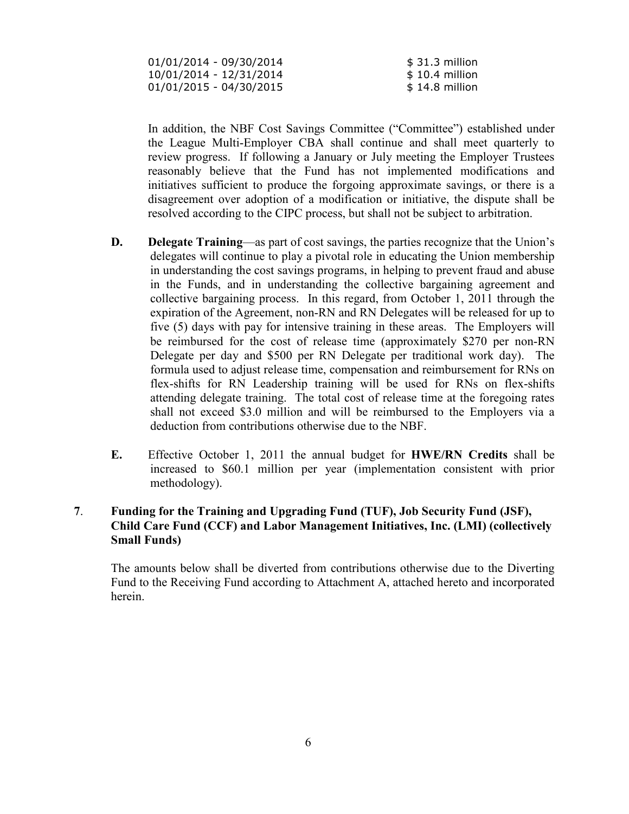| 01/01/2014 - 09/30/2014   | $$31.3$ million |
|---------------------------|-----------------|
| 10/01/2014 - 12/31/2014   | $$10.4$ million |
| $01/01/2015 - 04/30/2015$ | $$14.8$ million |

In addition, the NBF Cost Savings Committee ("Committee") established under the League Multi-Employer CBA shall continue and shall meet quarterly to review progress. If following a January or July meeting the Employer Trustees reasonably believe that the Fund has not implemented modifications and initiatives sufficient to produce the forgoing approximate savings, or there is a disagreement over adoption of a modification or initiative, the dispute shall be resolved according to the CIPC process, but shall not be subject to arbitration.

- **D. Delegate Training**—as part of cost savings, the parties recognize that the Union's delegates will continue to play a pivotal role in educating the Union membership in understanding the cost savings programs, in helping to prevent fraud and abuse in the Funds, and in understanding the collective bargaining agreement and collective bargaining process. In this regard, from October 1, 2011 through the expiration of the Agreement, non-RN and RN Delegates will be released for up to five (5) days with pay for intensive training in these areas. The Employers will be reimbursed for the cost of release time (approximately \$270 per non-RN Delegate per day and \$500 per RN Delegate per traditional work day). The formula used to adjust release time, compensation and reimbursement for RNs on flex-shifts for RN Leadership training will be used for RNs on flex-shifts attending delegate training. The total cost of release time at the foregoing rates shall not exceed \$3.0 million and will be reimbursed to the Employers via a deduction from contributions otherwise due to the NBF.
- **E.** Effective October 1, 2011 the annual budget for **HWE/RN Credits** shall be increased to \$60.1 million per year (implementation consistent with prior methodology).

## **7**. **Funding for the Training and Upgrading Fund (TUF), Job Security Fund (JSF), Child Care Fund (CCF) and Labor Management Initiatives, Inc. (LMI) (collectively Small Funds)**

The amounts below shall be diverted from contributions otherwise due to the Diverting Fund to the Receiving Fund according to Attachment A, attached hereto and incorporated herein.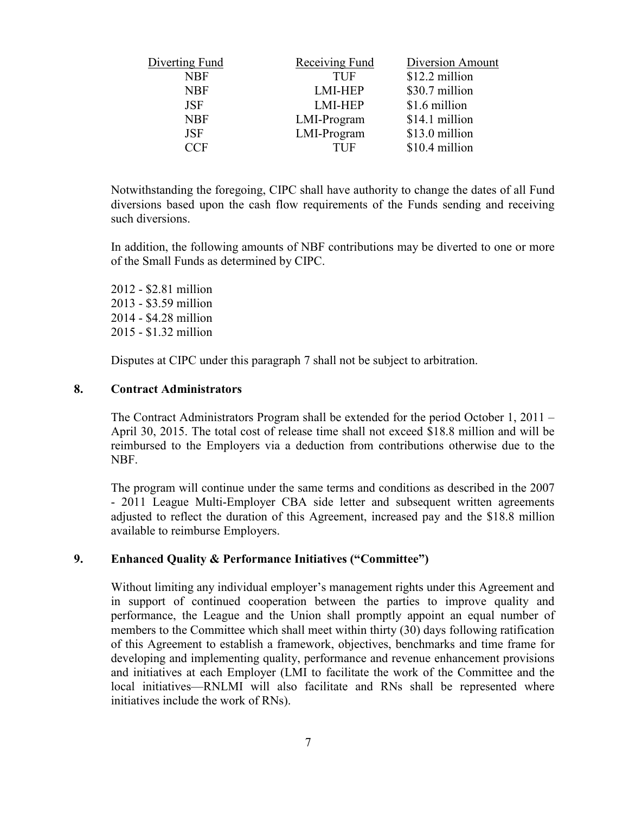| Diverting Fund | Receiving Fund | Diversion Amount |
|----------------|----------------|------------------|
| <b>NBF</b>     | <b>TUF</b>     | \$12.2 million   |
| <b>NBF</b>     | <b>LMI-HEP</b> | \$30.7 million   |
| <b>JSF</b>     | <b>LMI-HEP</b> | \$1.6 million    |
| <b>NBF</b>     | LMI-Program    | \$14.1 million   |
| <b>JSF</b>     | LMI-Program    | \$13.0 million   |
| CCF            | <b>THE</b>     | \$10.4 million   |

Notwithstanding the foregoing, CIPC shall have authority to change the dates of all Fund diversions based upon the cash flow requirements of the Funds sending and receiving such diversions.

In addition, the following amounts of NBF contributions may be diverted to one or more of the Small Funds as determined by CIPC.

2012 - \$2.81 million 2013 - \$3.59 million 2014 - \$4.28 million 2015 - \$1.32 million

Disputes at CIPC under this paragraph 7 shall not be subject to arbitration.

#### **8. Contract Administrators**

The Contract Administrators Program shall be extended for the period October 1, 2011 – April 30, 2015. The total cost of release time shall not exceed \$18.8 million and will be reimbursed to the Employers via a deduction from contributions otherwise due to the NBF.

 The program will continue under the same terms and conditions as described in the 2007 - 2011 League Multi-Employer CBA side letter and subsequent written agreements adjusted to reflect the duration of this Agreement, increased pay and the \$18.8 million available to reimburse Employers.

### **9. Enhanced Quality & Performance Initiatives ("Committee")**

Without limiting any individual employer's management rights under this Agreement and in support of continued cooperation between the parties to improve quality and performance, the League and the Union shall promptly appoint an equal number of members to the Committee which shall meet within thirty (30) days following ratification of this Agreement to establish a framework, objectives, benchmarks and time frame for developing and implementing quality, performance and revenue enhancement provisions and initiatives at each Employer (LMI to facilitate the work of the Committee and the local initiatives—RNLMI will also facilitate and RNs shall be represented where initiatives include the work of RNs).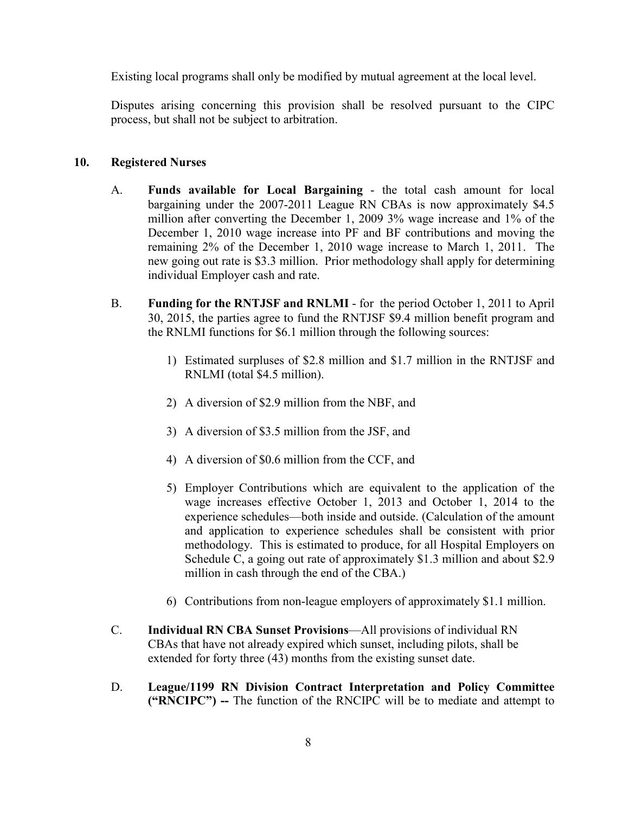Existing local programs shall only be modified by mutual agreement at the local level.

Disputes arising concerning this provision shall be resolved pursuant to the CIPC process, but shall not be subject to arbitration.

### **10. Registered Nurses**

- A. **Funds available for Local Bargaining** the total cash amount for local bargaining under the 2007-2011 League RN CBAs is now approximately \$4.5 million after converting the December 1, 2009 3% wage increase and 1% of the December 1, 2010 wage increase into PF and BF contributions and moving the remaining 2% of the December 1, 2010 wage increase to March 1, 2011. The new going out rate is \$3.3 million. Prior methodology shall apply for determining individual Employer cash and rate.
- B. **Funding for the RNTJSF and RNLMI** for the period October 1, 2011 to April 30, 2015, the parties agree to fund the RNTJSF \$9.4 million benefit program and the RNLMI functions for \$6.1 million through the following sources:
	- 1) Estimated surpluses of \$2.8 million and \$1.7 million in the RNTJSF and RNLMI (total \$4.5 million).
	- 2) A diversion of \$2.9 million from the NBF, and
	- 3) A diversion of \$3.5 million from the JSF, and
	- 4) A diversion of \$0.6 million from the CCF, and
	- 5) Employer Contributions which are equivalent to the application of the wage increases effective October 1, 2013 and October 1, 2014 to the experience schedules—both inside and outside. (Calculation of the amount and application to experience schedules shall be consistent with prior methodology. This is estimated to produce, for all Hospital Employers on Schedule C, a going out rate of approximately \$1.3 million and about \$2.9 million in cash through the end of the CBA.)
	- 6) Contributions from non-league employers of approximately \$1.1 million.
- C. **Individual RN CBA Sunset Provisions**—All provisions of individual RN CBAs that have not already expired which sunset, including pilots, shall be extended for forty three (43) months from the existing sunset date.
- D. **League/1199 RN Division Contract Interpretation and Policy Committee ("RNCIPC") --** The function of the RNCIPC will be to mediate and attempt to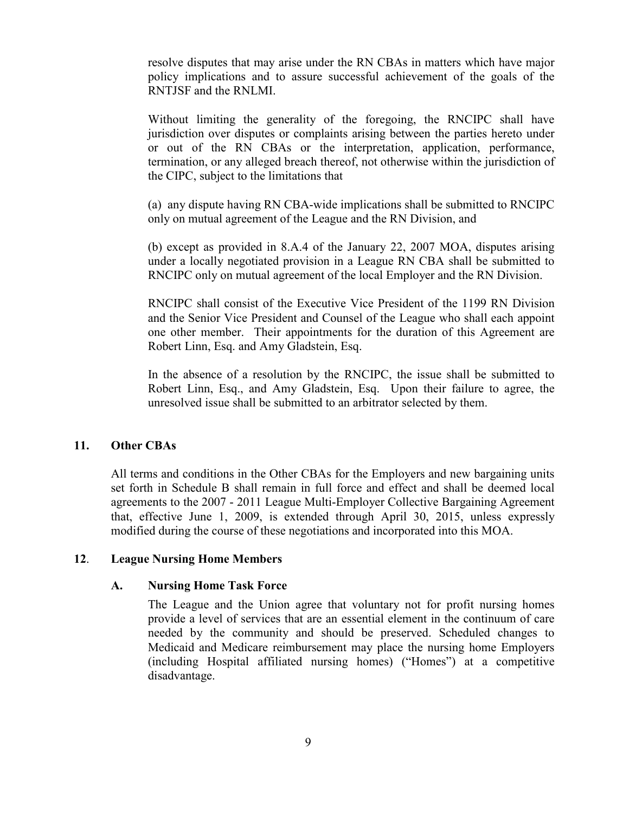resolve disputes that may arise under the RN CBAs in matters which have major policy implications and to assure successful achievement of the goals of the RNTJSF and the RNLMI.

Without limiting the generality of the foregoing, the RNCIPC shall have jurisdiction over disputes or complaints arising between the parties hereto under or out of the RN CBAs or the interpretation, application, performance, termination, or any alleged breach thereof, not otherwise within the jurisdiction of the CIPC, subject to the limitations that

(a) any dispute having RN CBA-wide implications shall be submitted to RNCIPC only on mutual agreement of the League and the RN Division, and

(b) except as provided in 8.A.4 of the January 22, 2007 MOA, disputes arising under a locally negotiated provision in a League RN CBA shall be submitted to RNCIPC only on mutual agreement of the local Employer and the RN Division.

RNCIPC shall consist of the Executive Vice President of the 1199 RN Division and the Senior Vice President and Counsel of the League who shall each appoint one other member. Their appointments for the duration of this Agreement are Robert Linn, Esq. and Amy Gladstein, Esq.

In the absence of a resolution by the RNCIPC, the issue shall be submitted to Robert Linn, Esq., and Amy Gladstein, Esq. Upon their failure to agree, the unresolved issue shall be submitted to an arbitrator selected by them.

#### **11. Other CBAs**

 All terms and conditions in the Other CBAs for the Employers and new bargaining units set forth in Schedule B shall remain in full force and effect and shall be deemed local agreements to the 2007 - 2011 League Multi-Employer Collective Bargaining Agreement that, effective June 1, 2009, is extended through April 30, 2015, unless expressly modified during the course of these negotiations and incorporated into this MOA.

#### **12**. **League Nursing Home Members**

#### **A. Nursing Home Task Force**

The League and the Union agree that voluntary not for profit nursing homes provide a level of services that are an essential element in the continuum of care needed by the community and should be preserved. Scheduled changes to Medicaid and Medicare reimbursement may place the nursing home Employers (including Hospital affiliated nursing homes) ("Homes") at a competitive disadvantage.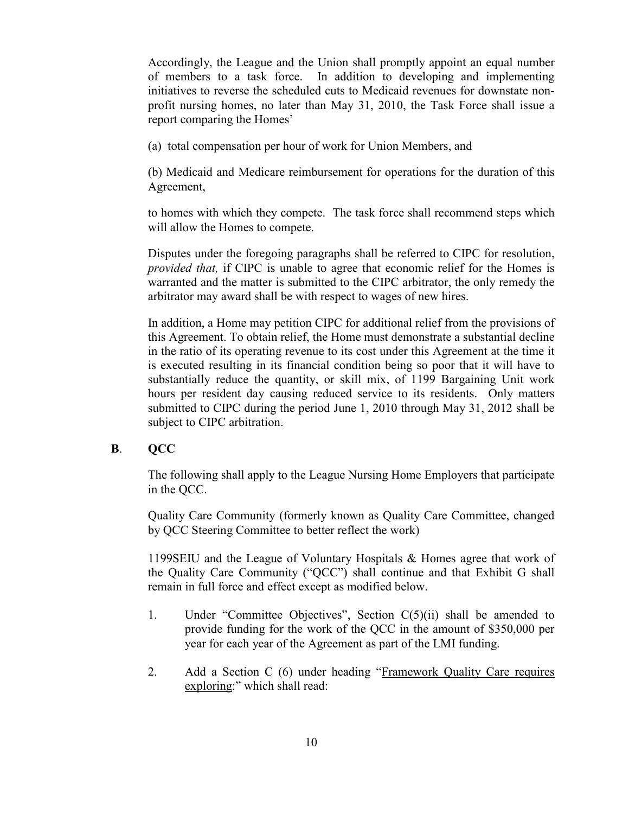Accordingly, the League and the Union shall promptly appoint an equal number of members to a task force. In addition to developing and implementing initiatives to reverse the scheduled cuts to Medicaid revenues for downstate nonprofit nursing homes, no later than May 31, 2010, the Task Force shall issue a report comparing the Homes'

(a) total compensation per hour of work for Union Members, and

(b) Medicaid and Medicare reimbursement for operations for the duration of this Agreement,

to homes with which they compete. The task force shall recommend steps which will allow the Homes to compete.

Disputes under the foregoing paragraphs shall be referred to CIPC for resolution, *provided that,* if CIPC is unable to agree that economic relief for the Homes is warranted and the matter is submitted to the CIPC arbitrator, the only remedy the arbitrator may award shall be with respect to wages of new hires.

In addition, a Home may petition CIPC for additional relief from the provisions of this Agreement. To obtain relief, the Home must demonstrate a substantial decline in the ratio of its operating revenue to its cost under this Agreement at the time it is executed resulting in its financial condition being so poor that it will have to substantially reduce the quantity, or skill mix, of 1199 Bargaining Unit work hours per resident day causing reduced service to its residents. Only matters submitted to CIPC during the period June 1, 2010 through May 31, 2012 shall be subject to CIPC arbitration.

### **B**. **QCC**

The following shall apply to the League Nursing Home Employers that participate in the QCC.

Quality Care Community (formerly known as Quality Care Committee, changed by QCC Steering Committee to better reflect the work)

1199SEIU and the League of Voluntary Hospitals & Homes agree that work of the Quality Care Community ("QCC") shall continue and that Exhibit G shall remain in full force and effect except as modified below.

- 1. Under "Committee Objectives", Section C(5)(ii) shall be amended to provide funding for the work of the QCC in the amount of \$350,000 per year for each year of the Agreement as part of the LMI funding.
- 2. Add a Section C (6) under heading "Framework Quality Care requires exploring:" which shall read: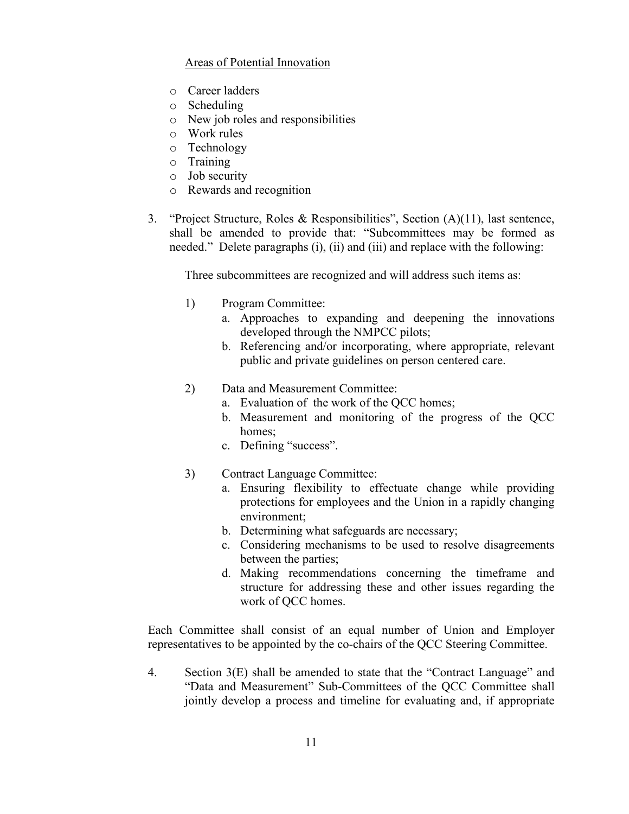## Areas of Potential Innovation

- o Career ladders
- o Scheduling
- o New job roles and responsibilities
- o Work rules
- o Technology
- o Training
- o Job security
- o Rewards and recognition
- 3. "Project Structure, Roles & Responsibilities", Section (A)(11), last sentence, shall be amended to provide that: "Subcommittees may be formed as needed." Delete paragraphs (i), (ii) and (iii) and replace with the following:

Three subcommittees are recognized and will address such items as:

- 1) Program Committee:
	- a. Approaches to expanding and deepening the innovations developed through the NMPCC pilots;
	- b. Referencing and/or incorporating, where appropriate, relevant public and private guidelines on person centered care.
- 2) Data and Measurement Committee:
	- a. Evaluation of the work of the QCC homes;
	- b. Measurement and monitoring of the progress of the QCC homes:
	- c. Defining "success".
- 3) Contract Language Committee:
	- a. Ensuring flexibility to effectuate change while providing protections for employees and the Union in a rapidly changing environment;
	- b. Determining what safeguards are necessary;
	- c. Considering mechanisms to be used to resolve disagreements between the parties;
	- d. Making recommendations concerning the timeframe and structure for addressing these and other issues regarding the work of QCC homes.

Each Committee shall consist of an equal number of Union and Employer representatives to be appointed by the co-chairs of the QCC Steering Committee.

4. Section 3(E) shall be amended to state that the "Contract Language" and "Data and Measurement" Sub-Committees of the QCC Committee shall jointly develop a process and timeline for evaluating and, if appropriate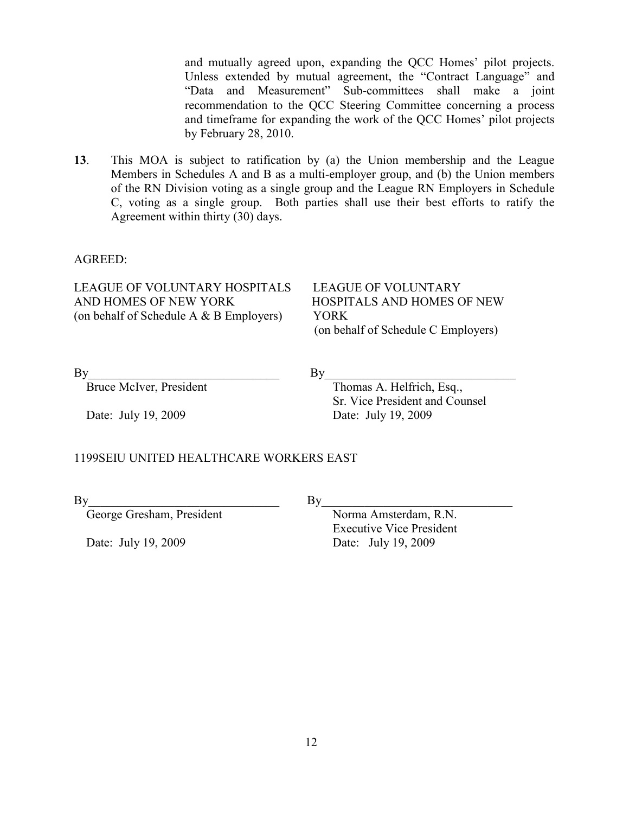and mutually agreed upon, expanding the QCC Homes' pilot projects. Unless extended by mutual agreement, the "Contract Language" and "Data and Measurement" Sub-committees shall make a joint recommendation to the QCC Steering Committee concerning a process and timeframe for expanding the work of the QCC Homes' pilot projects by February 28, 2010.

**13**. This MOA is subject to ratification by (a) the Union membership and the League Members in Schedules A and B as a multi-employer group, and (b) the Union members of the RN Division voting as a single group and the League RN Employers in Schedule C, voting as a single group. Both parties shall use their best efforts to ratify the Agreement within thirty (30) days.

#### AGREED:

LEAGUE OF VOLUNTARY HOSPITALS LEAGUE OF VOLUNTARY AND HOMES OF NEW YORK HOSPITALS AND HOMES OF NEW (on behalf of Schedule A & B Employers) YORK

(on behalf of Schedule C Employers)

 $\mathrm{By}$   $\mathrm{By}$ 

Date: July 19, 2009 Date: July 19, 2009

Bruce McIver, President Thomas A. Helfrich, Esq., Sr. Vice President and Counsel

### 1199SEIU UNITED HEALTHCARE WORKERS EAST

 $\mathbf{By}$ 

George Gresham, President Norma Amsterdam, R.N. Executive Vice President Date: July 19, 2009 Date: July 19, 2009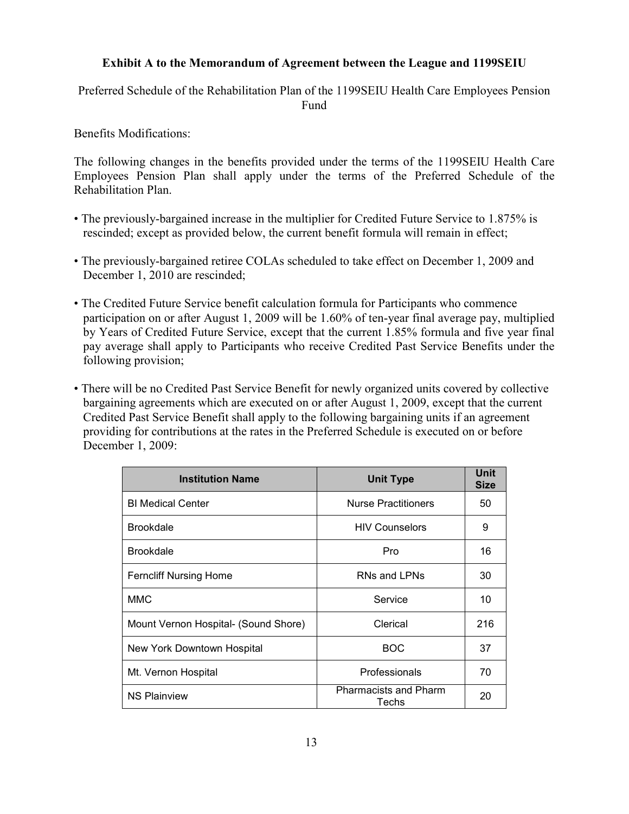## **Exhibit A to the Memorandum of Agreement between the League and 1199SEIU**

Preferred Schedule of the Rehabilitation Plan of the 1199SEIU Health Care Employees Pension Fund

Benefits Modifications:

The following changes in the benefits provided under the terms of the 1199SEIU Health Care Employees Pension Plan shall apply under the terms of the Preferred Schedule of the Rehabilitation Plan.

- The previously-bargained increase in the multiplier for Credited Future Service to 1.875% is rescinded; except as provided below, the current benefit formula will remain in effect;
- The previously-bargained retiree COLAs scheduled to take effect on December 1, 2009 and December 1, 2010 are rescinded;
- The Credited Future Service benefit calculation formula for Participants who commence participation on or after August 1, 2009 will be 1.60% of ten-year final average pay, multiplied by Years of Credited Future Service, except that the current 1.85% formula and five year final pay average shall apply to Participants who receive Credited Past Service Benefits under the following provision;
- There will be no Credited Past Service Benefit for newly organized units covered by collective bargaining agreements which are executed on or after August 1, 2009, except that the current Credited Past Service Benefit shall apply to the following bargaining units if an agreement providing for contributions at the rates in the Preferred Schedule is executed on or before December 1, 2009:

| <b>Institution Name</b>              | <b>Unit Type</b>                      | <b>Unit</b><br><b>Size</b> |
|--------------------------------------|---------------------------------------|----------------------------|
| <b>BI Medical Center</b>             | <b>Nurse Practitioners</b>            | 50                         |
| <b>Brookdale</b>                     | <b>HIV Counselors</b>                 | 9                          |
| <b>Brookdale</b>                     | Pro                                   | 16                         |
| <b>Ferncliff Nursing Home</b>        | RNs and LPNs                          | 30                         |
| <b>MMC</b>                           | Service                               | 10                         |
| Mount Vernon Hospital- (Sound Shore) | Clerical                              | 216                        |
| New York Downtown Hospital           | <b>BOC</b>                            | 37                         |
| Mt. Vernon Hospital                  | Professionals                         | 70                         |
| <b>NS Plainview</b>                  | <b>Pharmacists and Pharm</b><br>Techs | 20                         |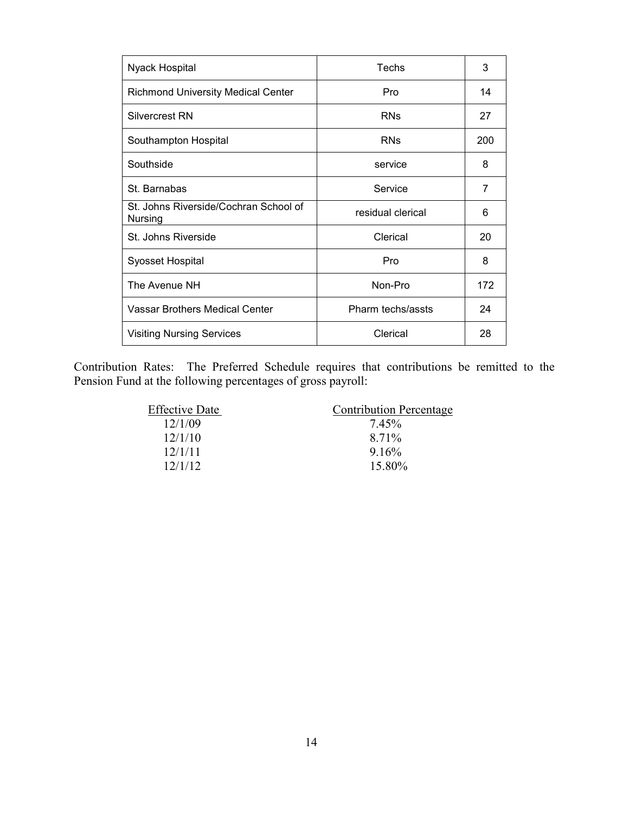| Nyack Hospital                                   | Techs             | 3   |
|--------------------------------------------------|-------------------|-----|
| <b>Richmond University Medical Center</b>        | Pro               | 14  |
| Silvercrest RN                                   | <b>RNs</b>        | 27  |
| Southampton Hospital                             | <b>RNs</b>        | 200 |
| Southside                                        | service           | 8   |
| St. Barnabas                                     | Service           | 7   |
| St. Johns Riverside/Cochran School of<br>Nursing | residual clerical | 6   |
| St. Johns Riverside                              | Clerical          | 20  |
| Syosset Hospital                                 | Pro               | 8   |
| The Avenue NH                                    | Non-Pro           | 172 |
| Vassar Brothers Medical Center                   | Pharm techs/assts | 24  |
| <b>Visiting Nursing Services</b>                 | Clerical          | 28  |

Contribution Rates: The Preferred Schedule requires that contributions be remitted to the Pension Fund at the following percentages of gross payroll:

| <b>Effective Date</b> | <b>Contribution Percentage</b> |
|-----------------------|--------------------------------|
| 12/1/09               | 7.45%                          |
| 12/1/10               | 8.71%                          |
| 12/1/11               | 916%                           |
| 12/1/12               | 15.80%                         |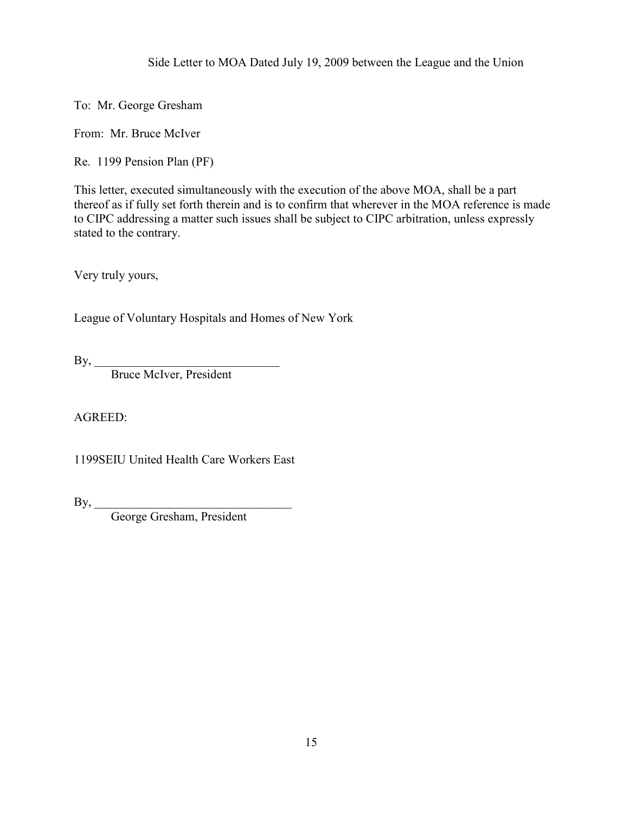Side Letter to MOA Dated July 19, 2009 between the League and the Union

To: Mr. George Gresham

From: Mr. Bruce McIver

Re. 1199 Pension Plan (PF)

This letter, executed simultaneously with the execution of the above MOA, shall be a part thereof as if fully set forth therein and is to confirm that wherever in the MOA reference is made to CIPC addressing a matter such issues shall be subject to CIPC arbitration, unless expressly stated to the contrary.

Very truly yours,

League of Voluntary Hospitals and Homes of New York

 $By, \_\_$ 

Bruce McIver, President

AGREED:

1199SEIU United Health Care Workers East

 $\mathbf{By,}$ 

George Gresham, President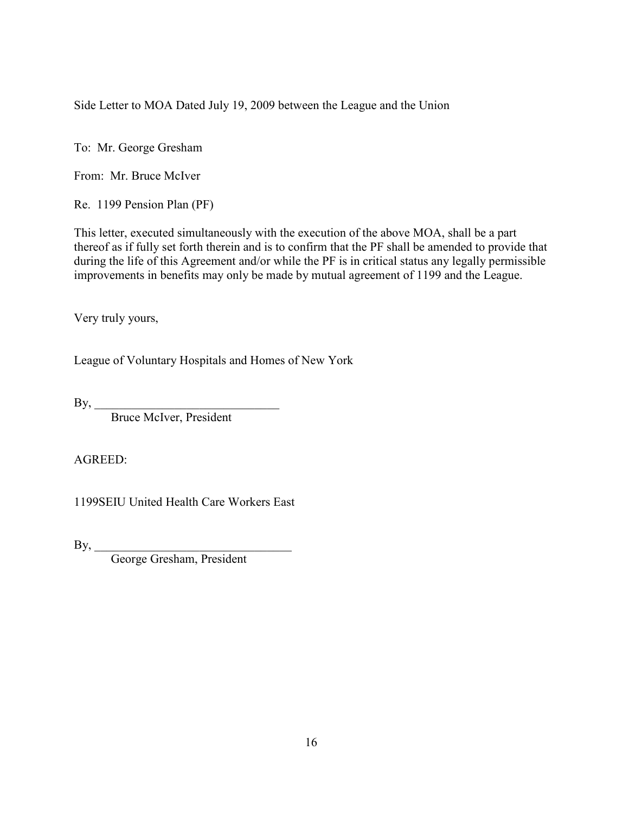Side Letter to MOA Dated July 19, 2009 between the League and the Union

To: Mr. George Gresham

From: Mr. Bruce McIver

Re. 1199 Pension Plan (PF)

This letter, executed simultaneously with the execution of the above MOA, shall be a part thereof as if fully set forth therein and is to confirm that the PF shall be amended to provide that during the life of this Agreement and/or while the PF is in critical status any legally permissible improvements in benefits may only be made by mutual agreement of 1199 and the League.

Very truly yours,

League of Voluntary Hospitals and Homes of New York

 $\mathbf{By,}$ 

Bruce McIver, President

AGREED:

1199SEIU United Health Care Workers East

 $\mathbf{By,}$ 

George Gresham, President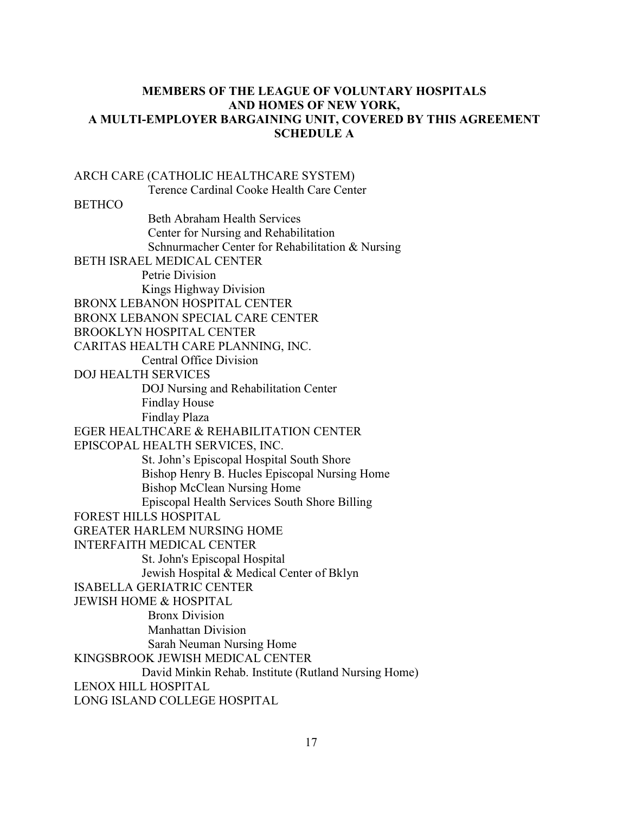## **MEMBERS OF THE LEAGUE OF VOLUNTARY HOSPITALS AND HOMES OF NEW YORK, A MULTI-EMPLOYER BARGAINING UNIT, COVERED BY THIS AGREEMENT SCHEDULE A**

ARCH CARE (CATHOLIC HEALTHCARE SYSTEM) Terence Cardinal Cooke Health Care Center **BETHCO**  Beth Abraham Health Services Center for Nursing and Rehabilitation Schnurmacher Center for Rehabilitation & Nursing BETH ISRAEL MEDICAL CENTER Petrie Division Kings Highway Division BRONX LEBANON HOSPITAL CENTER BRONX LEBANON SPECIAL CARE CENTER BROOKLYN HOSPITAL CENTER CARITAS HEALTH CARE PLANNING, INC. Central Office Division DOJ HEALTH SERVICES DOJ Nursing and Rehabilitation Center Findlay House Findlay Plaza EGER HEALTHCARE & REHABILITATION CENTER EPISCOPAL HEALTH SERVICES, INC. St. John's Episcopal Hospital South Shore Bishop Henry B. Hucles Episcopal Nursing Home Bishop McClean Nursing Home Episcopal Health Services South Shore Billing FOREST HILLS HOSPITAL GREATER HARLEM NURSING HOME INTERFAITH MEDICAL CENTER St. John's Episcopal Hospital Jewish Hospital & Medical Center of Bklyn ISABELLA GERIATRIC CENTER JEWISH HOME & HOSPITAL Bronx Division Manhattan Division Sarah Neuman Nursing Home KINGSBROOK JEWISH MEDICAL CENTER David Minkin Rehab. Institute (Rutland Nursing Home) LENOX HILL HOSPITAL LONG ISLAND COLLEGE HOSPITAL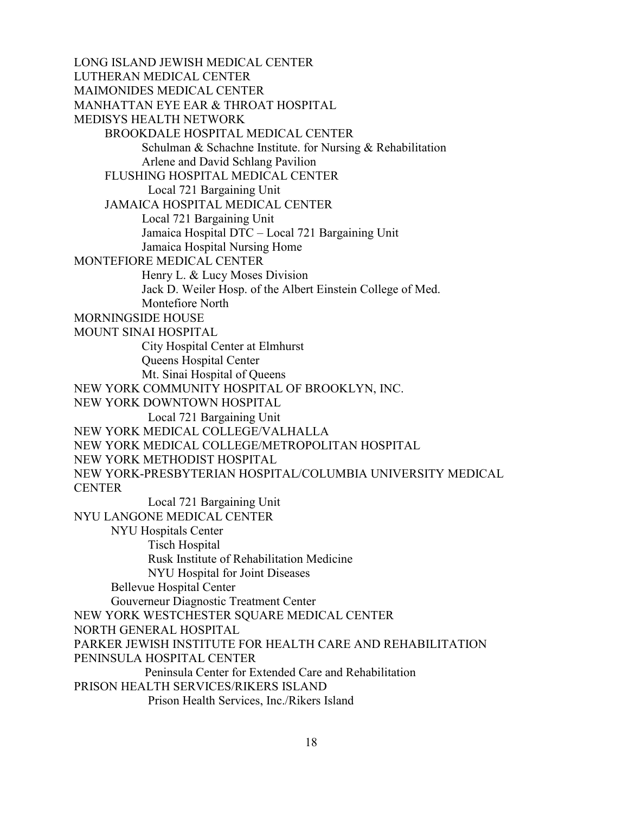LONG ISLAND JEWISH MEDICAL CENTER LUTHERAN MEDICAL CENTER MAIMONIDES MEDICAL CENTER MANHATTAN EYE EAR & THROAT HOSPITAL MEDISYS HEALTH NETWORK BROOKDALE HOSPITAL MEDICAL CENTER Schulman & Schachne Institute. for Nursing & Rehabilitation Arlene and David Schlang Pavilion FLUSHING HOSPITAL MEDICAL CENTER Local 721 Bargaining Unit JAMAICA HOSPITAL MEDICAL CENTER Local 721 Bargaining Unit Jamaica Hospital DTC – Local 721 Bargaining Unit Jamaica Hospital Nursing Home MONTEFIORE MEDICAL CENTER Henry L. & Lucy Moses Division Jack D. Weiler Hosp. of the Albert Einstein College of Med. Montefiore North MORNINGSIDE HOUSE MOUNT SINAI HOSPITAL City Hospital Center at Elmhurst Queens Hospital Center Mt. Sinai Hospital of Queens NEW YORK COMMUNITY HOSPITAL OF BROOKLYN, INC. NEW YORK DOWNTOWN HOSPITAL Local 721 Bargaining Unit NEW YORK MEDICAL COLLEGE/VALHALLA NEW YORK MEDICAL COLLEGE/METROPOLITAN HOSPITAL NEW YORK METHODIST HOSPITAL NEW YORK-PRESBYTERIAN HOSPITAL/COLUMBIA UNIVERSITY MEDICAL **CENTER**  Local 721 Bargaining Unit NYU LANGONE MEDICAL CENTER NYU Hospitals Center Tisch Hospital Rusk Institute of Rehabilitation Medicine NYU Hospital for Joint Diseases Bellevue Hospital Center Gouverneur Diagnostic Treatment Center NEW YORK WESTCHESTER SQUARE MEDICAL CENTER NORTH GENERAL HOSPITAL PARKER JEWISH INSTITUTE FOR HEALTH CARE AND REHABILITATION PENINSULA HOSPITAL CENTER Peninsula Center for Extended Care and Rehabilitation PRISON HEALTH SERVICES/RIKERS ISLAND Prison Health Services, Inc./Rikers Island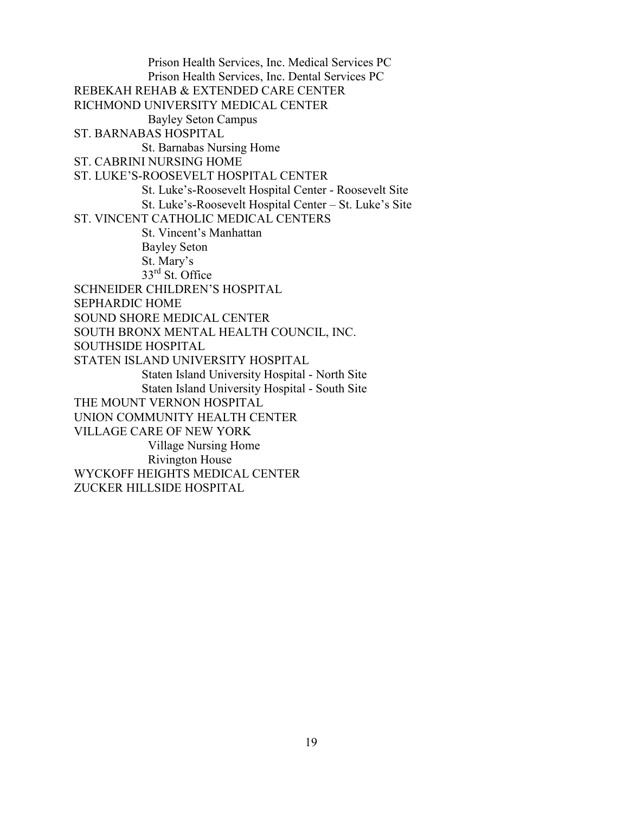Prison Health Services, Inc. Medical Services PC Prison Health Services, Inc. Dental Services PC REBEKAH REHAB & EXTENDED CARE CENTER RICHMOND UNIVERSITY MEDICAL CENTER Bayley Seton Campus ST. BARNABAS HOSPITAL St. Barnabas Nursing Home ST. CABRINI NURSING HOME ST. LUKE'S-ROOSEVELT HOSPITAL CENTER St. Luke's-Roosevelt Hospital Center - Roosevelt Site St. Luke's-Roosevelt Hospital Center – St. Luke's Site ST. VINCENT CATHOLIC MEDICAL CENTERS St. Vincent's Manhattan Bayley Seton St. Mary's 33rd St. Office SCHNEIDER CHILDREN'S HOSPITAL SEPHARDIC HOME SOUND SHORE MEDICAL CENTER SOUTH BRONX MENTAL HEALTH COUNCIL, INC. SOUTHSIDE HOSPITAL STATEN ISLAND UNIVERSITY HOSPITAL Staten Island University Hospital - North Site Staten Island University Hospital - South Site THE MOUNT VERNON HOSPITAL UNION COMMUNITY HEALTH CENTER VILLAGE CARE OF NEW YORK Village Nursing Home Rivington House WYCKOFF HEIGHTS MEDICAL CENTER ZUCKER HILLSIDE HOSPITAL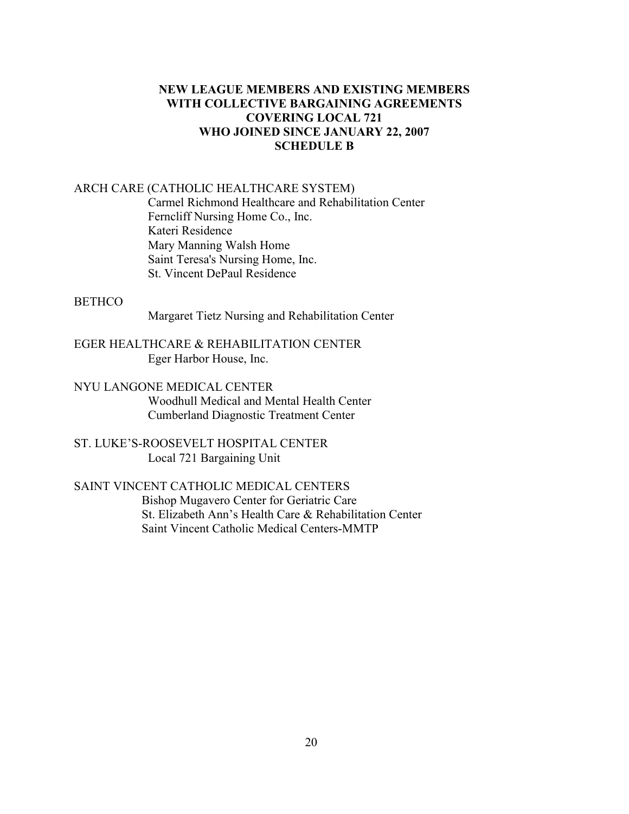## **NEW LEAGUE MEMBERS AND EXISTING MEMBERS WITH COLLECTIVE BARGAINING AGREEMENTS COVERING LOCAL 721 WHO JOINED SINCE JANUARY 22, 2007 SCHEDULE B**

### ARCH CARE (CATHOLIC HEALTHCARE SYSTEM)

 Carmel Richmond Healthcare and Rehabilitation Center Ferncliff Nursing Home Co., Inc. Kateri Residence Mary Manning Walsh Home Saint Teresa's Nursing Home, Inc. St. Vincent DePaul Residence

### **BETHCO**

Margaret Tietz Nursing and Rehabilitation Center

EGER HEALTHCARE & REHABILITATION CENTER Eger Harbor House, Inc.

NYU LANGONE MEDICAL CENTER Woodhull Medical and Mental Health Center Cumberland Diagnostic Treatment Center

ST. LUKE'S-ROOSEVELT HOSPITAL CENTER Local 721 Bargaining Unit

## SAINT VINCENT CATHOLIC MEDICAL CENTERS

 Bishop Mugavero Center for Geriatric Care St. Elizabeth Ann's Health Care & Rehabilitation Center Saint Vincent Catholic Medical Centers-MMTP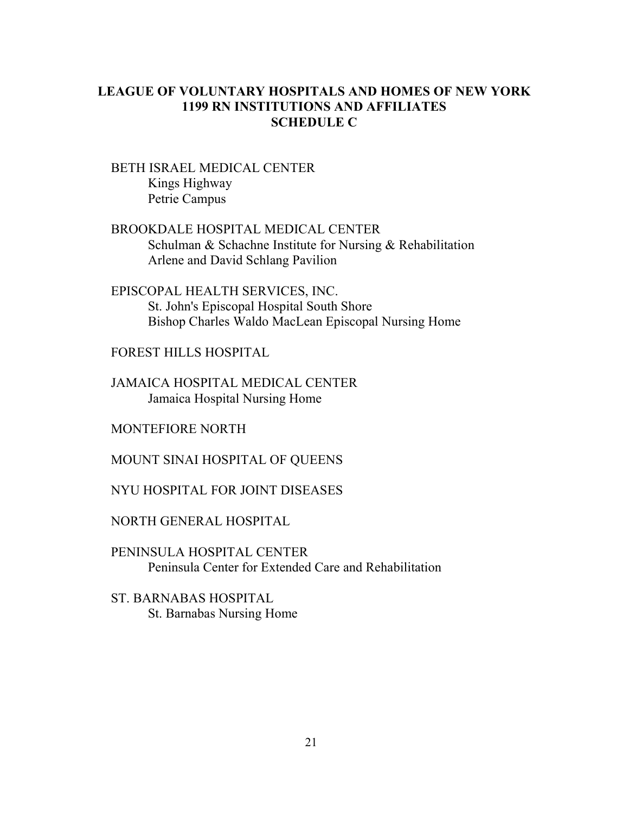# **LEAGUE OF VOLUNTARY HOSPITALS AND HOMES OF NEW YORK 1199 RN INSTITUTIONS AND AFFILIATES SCHEDULE C**

 BETH ISRAEL MEDICAL CENTER Kings Highway Petrie Campus

- BROOKDALE HOSPITAL MEDICAL CENTER Schulman & Schachne Institute for Nursing & Rehabilitation Arlene and David Schlang Pavilion
- EPISCOPAL HEALTH SERVICES, INC. St. John's Episcopal Hospital South Shore Bishop Charles Waldo MacLean Episcopal Nursing Home

FOREST HILLS HOSPITAL

 JAMAICA HOSPITAL MEDICAL CENTER Jamaica Hospital Nursing Home

MONTEFIORE NORTH

MOUNT SINAI HOSPITAL OF QUEENS

NYU HOSPITAL FOR JOINT DISEASES

NORTH GENERAL HOSPITAL

PENINSULA HOSPITAL CENTER Peninsula Center for Extended Care and Rehabilitation

ST. BARNABAS HOSPITAL St. Barnabas Nursing Home